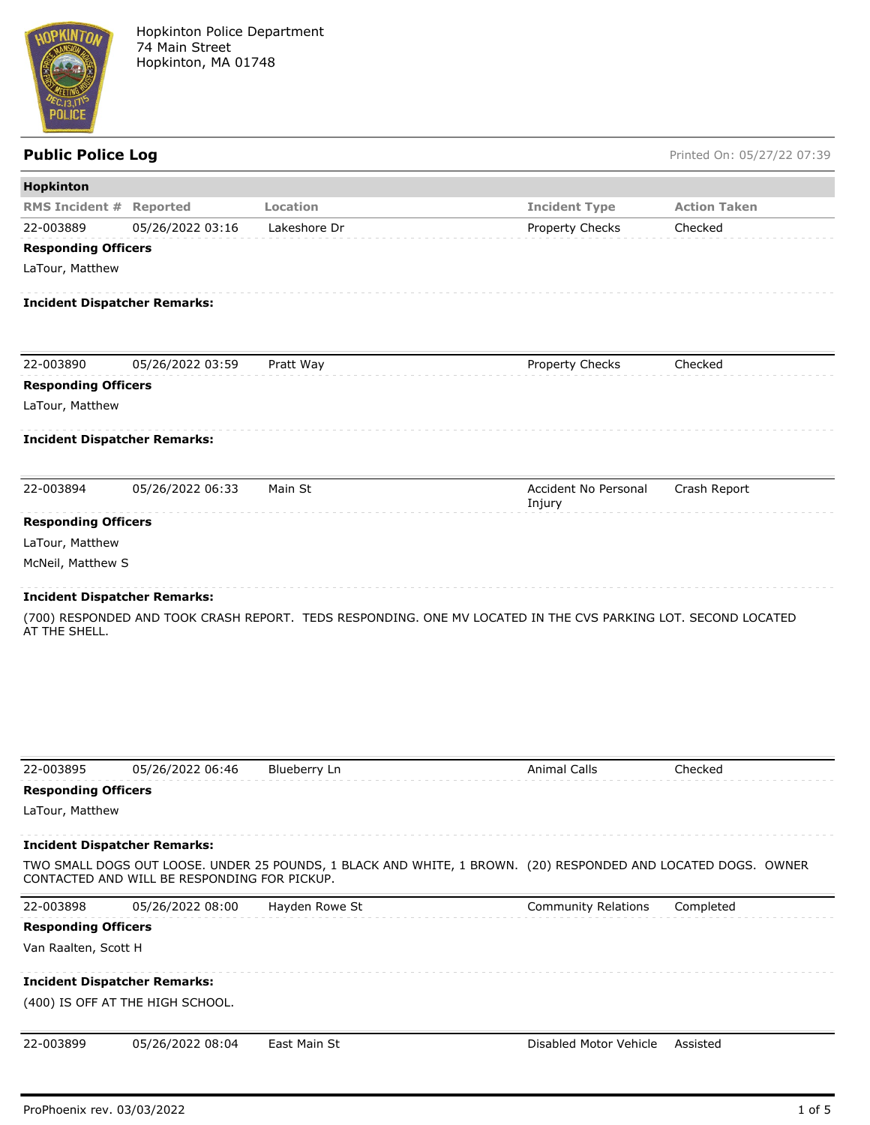

Hopkinton Police Department 74 Main Street Hopkinton, MA 01748

Public Police Log **Public Police Log** Printed On: 05/27/22 07:39

| Hopkinton                           |                                              |                                                                                                               |                                |                     |
|-------------------------------------|----------------------------------------------|---------------------------------------------------------------------------------------------------------------|--------------------------------|---------------------|
| <b>RMS Incident #</b>               | Reported                                     | Location                                                                                                      | <b>Incident Type</b>           | <b>Action Taken</b> |
| 22-003889                           | 05/26/2022 03:16                             | Lakeshore Dr                                                                                                  | Property Checks                | Checked             |
| <b>Responding Officers</b>          |                                              |                                                                                                               |                                |                     |
| LaTour, Matthew                     |                                              |                                                                                                               |                                |                     |
| <b>Incident Dispatcher Remarks:</b> |                                              |                                                                                                               |                                |                     |
| 22-003890                           | 05/26/2022 03:59                             | Pratt Way                                                                                                     | Property Checks                | Checked             |
| <b>Responding Officers</b>          |                                              |                                                                                                               |                                |                     |
| LaTour, Matthew                     |                                              |                                                                                                               |                                |                     |
| <b>Incident Dispatcher Remarks:</b> |                                              |                                                                                                               |                                |                     |
| 22-003894                           | 05/26/2022 06:33                             | Main St                                                                                                       | Accident No Personal<br>Injury | Crash Report        |
| <b>Responding Officers</b>          |                                              |                                                                                                               |                                |                     |
| LaTour, Matthew                     |                                              |                                                                                                               |                                |                     |
| McNeil, Matthew S                   |                                              |                                                                                                               |                                |                     |
| <b>Incident Dispatcher Remarks:</b> |                                              |                                                                                                               |                                |                     |
| AT THE SHELL.                       |                                              |                                                                                                               |                                |                     |
| 22-003895                           | 05/26/2022 06:46                             | Blueberry Ln                                                                                                  | Animal Calls                   | Checked             |
| <b>Responding Officers</b>          |                                              |                                                                                                               |                                |                     |
| LaTour, Matthew                     |                                              |                                                                                                               |                                |                     |
| <b>Incident Dispatcher Remarks:</b> |                                              |                                                                                                               |                                |                     |
|                                     | CONTACTED AND WILL BE RESPONDING FOR PICKUP. | TWO SMALL DOGS OUT LOOSE. UNDER 25 POUNDS, 1 BLACK AND WHITE, 1 BROWN. (20) RESPONDED AND LOCATED DOGS. OWNER |                                |                     |
| 22-003898                           | 05/26/2022 08:00                             | Hayden Rowe St                                                                                                | <b>Community Relations</b>     | Completed           |
|                                     |                                              |                                                                                                               |                                |                     |
| <b>Responding Officers</b>          |                                              |                                                                                                               |                                |                     |
| Van Raalten, Scott H                |                                              |                                                                                                               |                                |                     |
| <b>Incident Dispatcher Remarks:</b> |                                              |                                                                                                               |                                |                     |
|                                     | (400) IS OFF AT THE HIGH SCHOOL.             |                                                                                                               |                                |                     |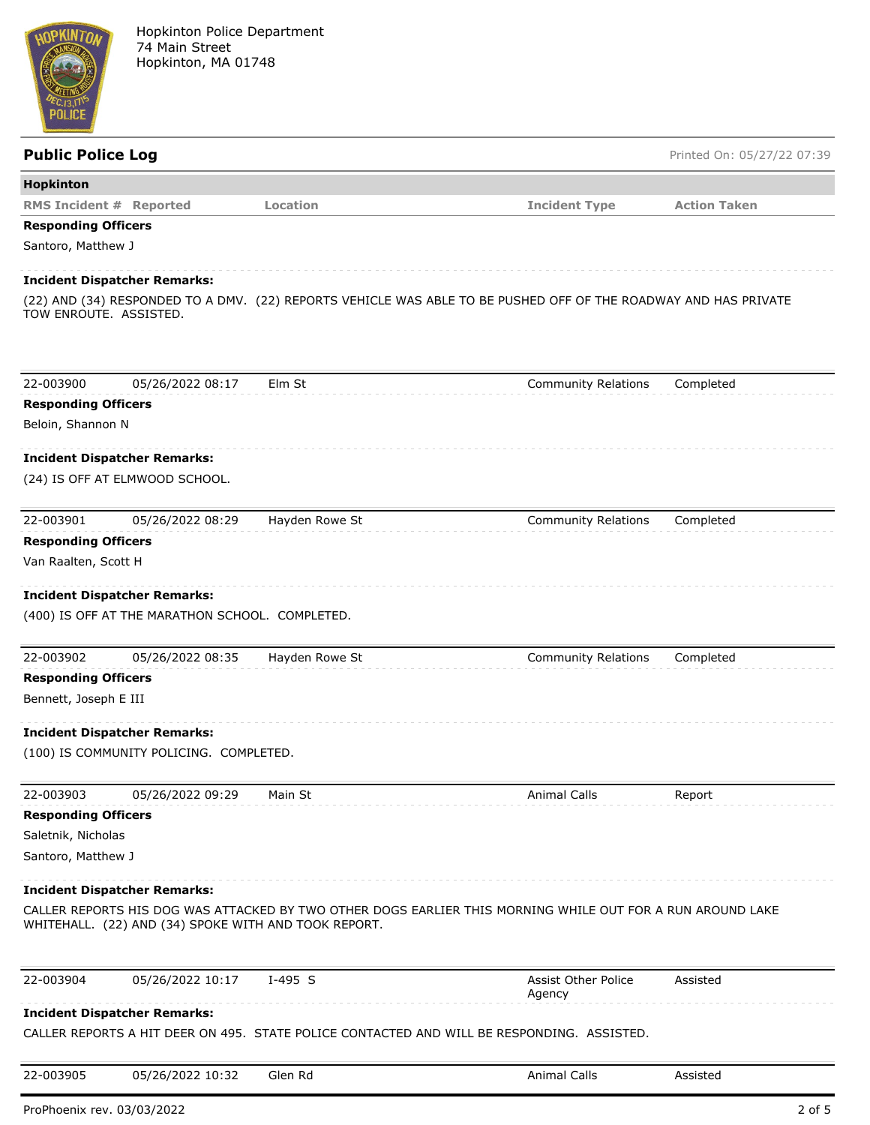

| <b>Public Police Log</b>   |                                                      |                |                                                                                                                 | Printed On: 05/27/22 07:39 |
|----------------------------|------------------------------------------------------|----------------|-----------------------------------------------------------------------------------------------------------------|----------------------------|
| <b>Hopkinton</b>           |                                                      |                |                                                                                                                 |                            |
|                            | <b>RMS Incident # Reported</b>                       | Location       | <b>Incident Type</b>                                                                                            | <b>Action Taken</b>        |
| <b>Responding Officers</b> |                                                      |                |                                                                                                                 |                            |
| Santoro, Matthew J         |                                                      |                |                                                                                                                 |                            |
|                            | Incident Dispatcher Remarks:                         |                |                                                                                                                 |                            |
|                            |                                                      |                | (22) AND (34) RESPONDED TO A DMV. (22) REPORTS VEHICLE WAS ABLE TO BE PUSHED OFF OF THE ROADWAY AND HAS PRIVATE |                            |
| TOW ENROUTE. ASSISTED.     |                                                      |                |                                                                                                                 |                            |
|                            |                                                      |                |                                                                                                                 |                            |
| 22-003900                  | 05/26/2022 08:17                                     | Elm St         | <b>Community Relations</b>                                                                                      | Completed                  |
| <b>Responding Officers</b> |                                                      |                |                                                                                                                 |                            |
| Beloin, Shannon N          |                                                      |                |                                                                                                                 |                            |
|                            |                                                      |                |                                                                                                                 |                            |
|                            | Incident Dispatcher Remarks:                         |                |                                                                                                                 |                            |
|                            | (24) IS OFF AT ELMWOOD SCHOOL.                       |                |                                                                                                                 |                            |
| 22-003901                  | 05/26/2022 08:29                                     | Hayden Rowe St | <b>Community Relations</b>                                                                                      | Completed                  |
| <b>Responding Officers</b> |                                                      |                |                                                                                                                 |                            |
| Van Raalten, Scott H       |                                                      |                |                                                                                                                 |                            |
|                            |                                                      |                |                                                                                                                 |                            |
|                            | <b>Incident Dispatcher Remarks:</b>                  |                |                                                                                                                 |                            |
|                            | (400) IS OFF AT THE MARATHON SCHOOL. COMPLETED.      |                |                                                                                                                 |                            |
| 22-003902                  | 05/26/2022 08:35                                     | Hayden Rowe St | <b>Community Relations</b>                                                                                      | Completed                  |
| <b>Responding Officers</b> |                                                      |                |                                                                                                                 |                            |
| Bennett, Joseph E III      |                                                      |                |                                                                                                                 |                            |
|                            | <b>Incident Dispatcher Remarks:</b>                  |                |                                                                                                                 |                            |
|                            | (100) IS COMMUNITY POLICING. COMPLETED.              |                |                                                                                                                 |                            |
|                            |                                                      |                |                                                                                                                 |                            |
| 22-003903                  | 05/26/2022 09:29                                     | Main St        | <b>Animal Calls</b>                                                                                             | Report                     |
| <b>Responding Officers</b> |                                                      |                |                                                                                                                 |                            |
| Saletnik, Nicholas         |                                                      |                |                                                                                                                 |                            |
| Santoro, Matthew J         |                                                      |                |                                                                                                                 |                            |
|                            | <b>Incident Dispatcher Remarks:</b>                  |                |                                                                                                                 |                            |
|                            | WHITEHALL. (22) AND (34) SPOKE WITH AND TOOK REPORT. |                | CALLER REPORTS HIS DOG WAS ATTACKED BY TWO OTHER DOGS EARLIER THIS MORNING WHILE OUT FOR A RUN AROUND LAKE      |                            |
| 22-003904                  | 05/26/2022 10:17                                     | I-495 S        | Assist Other Police<br>Agency                                                                                   | Assisted                   |
|                            | Incident Dispatcher Remarks:                         |                |                                                                                                                 |                            |
|                            |                                                      |                | CALLER REPORTS A HIT DEER ON 495.  STATE POLICE CONTACTED AND WILL BE RESPONDING.  ASSISTED.                    |                            |

22-003905 05/26/2022 10:32 Glen Rd Animal Calls Assisted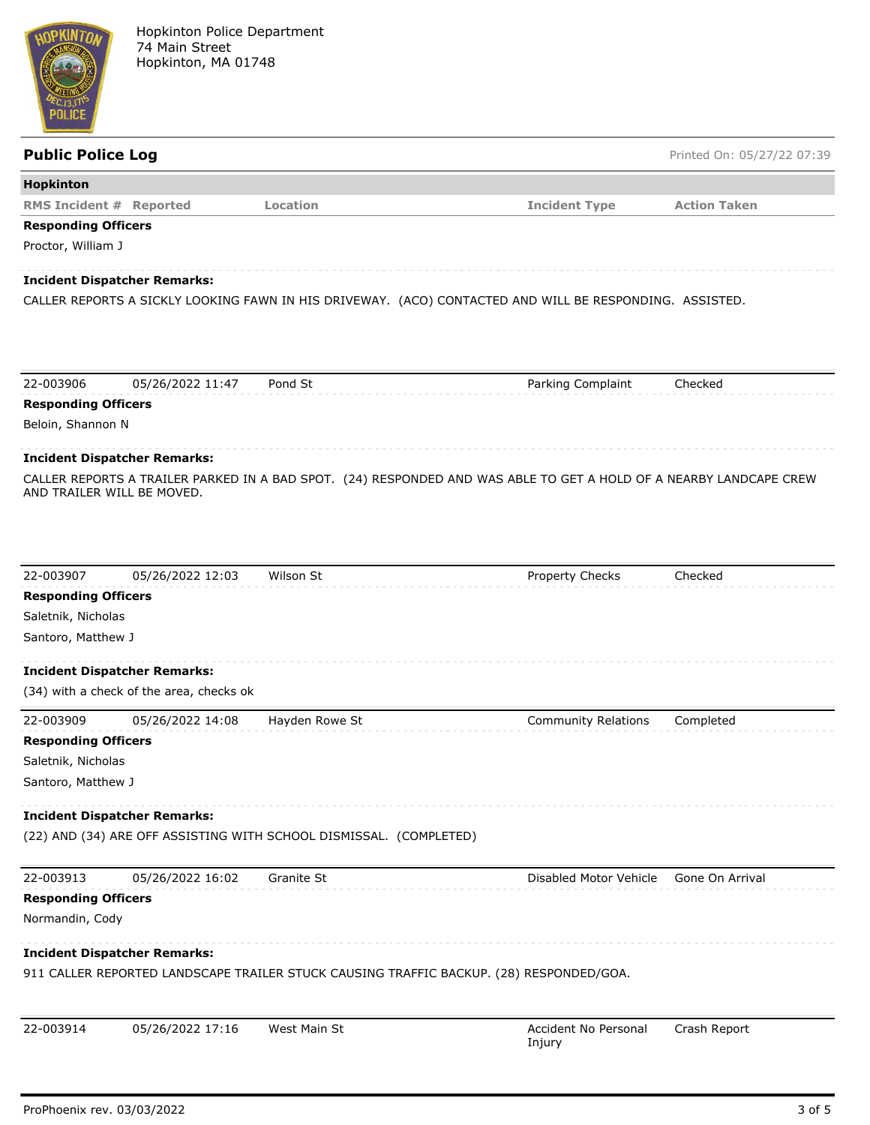

| <b>Public Police Log</b>   |                                          |                                                                    |                                                                                                                    | Printed On: 05/27/22 07:39 |
|----------------------------|------------------------------------------|--------------------------------------------------------------------|--------------------------------------------------------------------------------------------------------------------|----------------------------|
| Hopkinton                  |                                          |                                                                    |                                                                                                                    |                            |
|                            | <b>RMS Incident # Reported</b>           | Location                                                           | <b>Incident Type</b>                                                                                               | <b>Action Taken</b>        |
| <b>Responding Officers</b> |                                          |                                                                    |                                                                                                                    |                            |
| Proctor, William J         |                                          |                                                                    |                                                                                                                    |                            |
|                            | <b>Incident Dispatcher Remarks:</b>      |                                                                    |                                                                                                                    |                            |
|                            |                                          |                                                                    | CALLER REPORTS A SICKLY LOOKING FAWN IN HIS DRIVEWAY. (ACO) CONTACTED AND WILL BE RESPONDING. ASSISTED.            |                            |
|                            |                                          |                                                                    |                                                                                                                    |                            |
|                            |                                          |                                                                    |                                                                                                                    |                            |
| 22-003906                  | 05/26/2022 11:47                         | Pond St                                                            | Parking Complaint                                                                                                  | Checked                    |
| <b>Responding Officers</b> |                                          |                                                                    |                                                                                                                    |                            |
| Beloin, Shannon N          |                                          |                                                                    |                                                                                                                    |                            |
|                            | <b>Incident Dispatcher Remarks:</b>      |                                                                    |                                                                                                                    |                            |
|                            |                                          |                                                                    | CALLER REPORTS A TRAILER PARKED IN A BAD SPOT. (24) RESPONDED AND WAS ABLE TO GET A HOLD OF A NEARBY LANDCAPE CREW |                            |
|                            | AND TRAILER WILL BE MOVED.               |                                                                    |                                                                                                                    |                            |
|                            |                                          |                                                                    |                                                                                                                    |                            |
|                            |                                          |                                                                    |                                                                                                                    |                            |
| 22-003907                  | 05/26/2022 12:03                         | Wilson St                                                          | Property Checks                                                                                                    | Checked                    |
| <b>Responding Officers</b> |                                          |                                                                    |                                                                                                                    |                            |
| Saletnik, Nicholas         |                                          |                                                                    |                                                                                                                    |                            |
| Santoro, Matthew J         |                                          |                                                                    |                                                                                                                    |                            |
|                            | <b>Incident Dispatcher Remarks:</b>      |                                                                    |                                                                                                                    |                            |
|                            | (34) with a check of the area, checks ok |                                                                    |                                                                                                                    |                            |
| 22-003909                  | 05/26/2022 14:08                         | Hayden Rowe St                                                     | <b>Community Relations</b>                                                                                         | Completed                  |
| <b>Responding Officers</b> |                                          |                                                                    |                                                                                                                    |                            |
| Saletnik, Nicholas         |                                          |                                                                    |                                                                                                                    |                            |
| Santoro, Matthew J         |                                          |                                                                    |                                                                                                                    |                            |
|                            | <b>Incident Dispatcher Remarks:</b>      |                                                                    |                                                                                                                    |                            |
|                            |                                          | (22) AND (34) ARE OFF ASSISTING WITH SCHOOL DISMISSAL. (COMPLETED) |                                                                                                                    |                            |
|                            |                                          |                                                                    |                                                                                                                    |                            |
| 22-003913                  | 05/26/2022 16:02                         | Granite St                                                         | Disabled Motor Vehicle                                                                                             | Gone On Arrival            |
| <b>Responding Officers</b> |                                          |                                                                    |                                                                                                                    |                            |
| Normandin, Cody            |                                          |                                                                    |                                                                                                                    |                            |
|                            | <b>Incident Dispatcher Remarks:</b>      |                                                                    |                                                                                                                    |                            |
|                            |                                          |                                                                    | 911 CALLER REPORTED LANDSCAPE TRAILER STUCK CAUSING TRAFFIC BACKUP. (28) RESPONDED/GOA.                            |                            |
|                            |                                          |                                                                    |                                                                                                                    |                            |
| 22-003914                  | 05/26/2022 17:16                         | West Main St                                                       | Accident No Personal                                                                                               | Crash Report               |
|                            |                                          |                                                                    | Injury                                                                                                             |                            |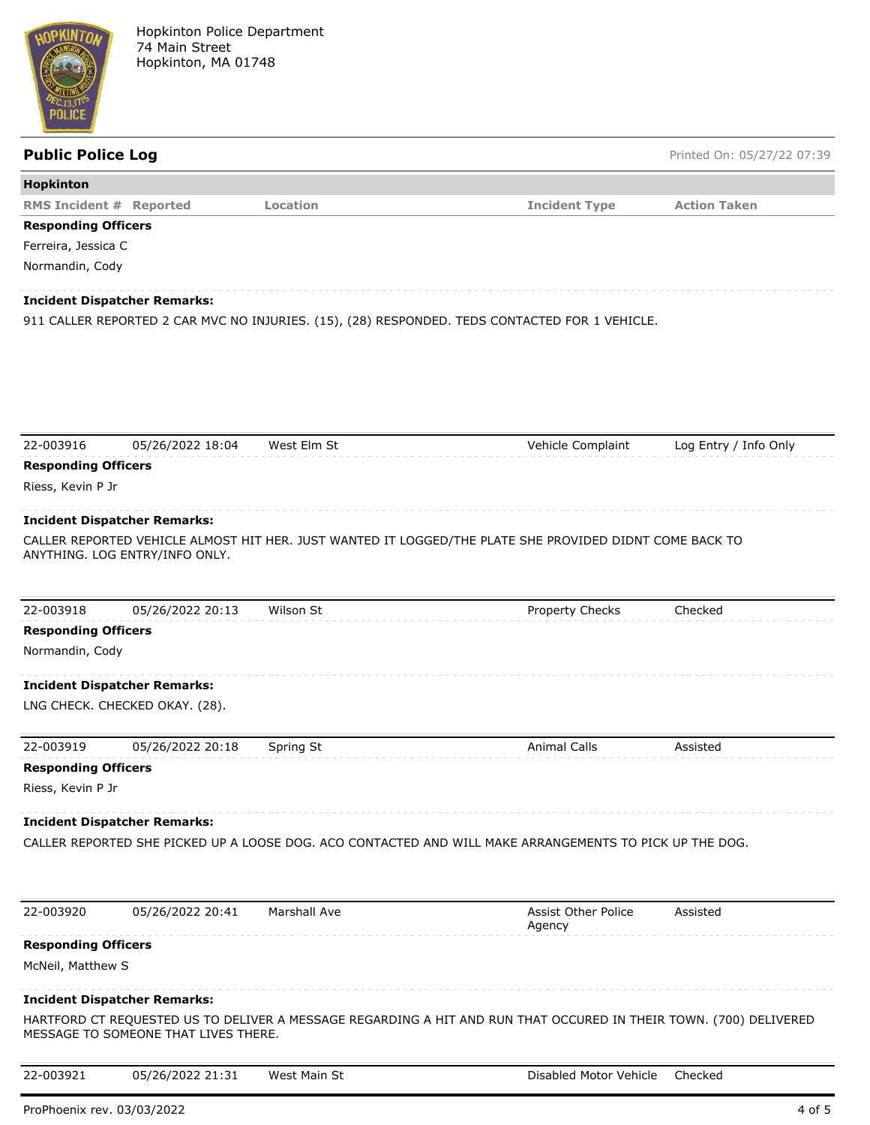

## **Hopkinton RMS Incident # Reported Location Incident Type Action Taken Responding Officers** Ferreira, Jessica C Normandin, Cody **Incident Dispatcher Remarks:** 911 CALLER REPORTED 2 CAR MVC NO INJURIES. (15), (28) RESPONDED. TEDS CONTACTED FOR 1 VEHICLE. 22-003916 05/26/2022 18:04 West Elm St Vehicle Complaint Log Entry / Info Only **Responding Officers** Riess, Kevin P Jr **Incident Dispatcher Remarks:** CALLER REPORTED VEHICLE ALMOST HIT HER. JUST WANTED IT LOGGED/THE PLATE SHE PROVIDED DIDNT COME BACK TO ANYTHING. LOG ENTRY/INFO ONLY. 22-003918 05/26/2022 20:13 Wilson St Property Checks Checked **Responding Officers** Normandin, Cody **Incident Dispatcher Remarks:** LNG CHECK. CHECKED OKAY. (28). 22-003919 05/26/2022 20:18 Spring St Animal Calls Assisted **Responding Officers** Riess, Kevin P Jr **Incident Dispatcher Remarks:** CALLER REPORTED SHE PICKED UP A LOOSE DOG. ACO CONTACTED AND WILL MAKE ARRANGEMENTS TO PICK UP THE DOG. 22-003920 05/26/2022 20:41 Marshall Ave Assist Other Police Agency Assisted **Responding Officers** McNeil, Matthew S

**Public Police Log Printed On: 05/27/22 07:39** 

**Incident Dispatcher Remarks:**

HARTFORD CT REQUESTED US TO DELIVER A MESSAGE REGARDING A HIT AND RUN THAT OCCURED IN THEIR TOWN. (700) DELIVERED MESSAGE TO SOMEONE THAT LIVES THERE.

| 22-003921 | 05/26/2022 21:31<br>$\mathbf{r}$ | West Main St | Disabled Motor Vehicle | Checked |
|-----------|----------------------------------|--------------|------------------------|---------|
|-----------|----------------------------------|--------------|------------------------|---------|